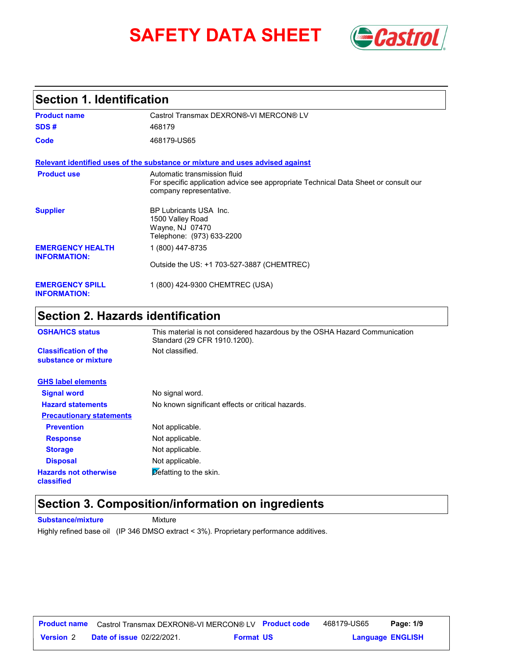# **SAFETY DATA SHEET Gastrol**



### **Section 1. Identification**

| <b>Product name</b>                            | Castrol Transmax DEXRON®-VI MERCON® LV                                                                                                         |  |
|------------------------------------------------|------------------------------------------------------------------------------------------------------------------------------------------------|--|
| SDS#                                           | 468179                                                                                                                                         |  |
| Code                                           | 468179-US65                                                                                                                                    |  |
|                                                | Relevant identified uses of the substance or mixture and uses advised against                                                                  |  |
| <b>Product use</b>                             | Automatic transmission fluid<br>For specific application advice see appropriate Technical Data Sheet or consult our<br>company representative. |  |
| <b>Supplier</b>                                | BP Lubricants USA Inc.<br>1500 Valley Road<br>Wayne, NJ 07470<br>Telephone: (973) 633-2200                                                     |  |
| <b>EMERGENCY HEALTH</b><br><b>INFORMATION:</b> | 1 (800) 447-8735                                                                                                                               |  |
|                                                | Outside the US: +1 703-527-3887 (CHEMTREC)                                                                                                     |  |
| <b>EMERGENCY SPILL</b><br><b>INFORMATION:</b>  | 1 (800) 424-9300 CHEMTREC (USA)                                                                                                                |  |

### **Section 2. Hazards identification**

| <b>OSHA/HCS status</b>                               | This material is not considered hazardous by the OSHA Hazard Communication<br>Standard (29 CFR 1910.1200). |
|------------------------------------------------------|------------------------------------------------------------------------------------------------------------|
| <b>Classification of the</b><br>substance or mixture | Not classified.                                                                                            |
| <b>GHS label elements</b>                            |                                                                                                            |
| <b>Signal word</b>                                   | No signal word.                                                                                            |
| <b>Hazard statements</b>                             | No known significant effects or critical hazards.                                                          |
| <b>Precautionary statements</b>                      |                                                                                                            |
| <b>Prevention</b>                                    | Not applicable.                                                                                            |
| <b>Response</b>                                      | Not applicable.                                                                                            |
| <b>Storage</b>                                       | Not applicable.                                                                                            |
| <b>Disposal</b>                                      | Not applicable.                                                                                            |
| <b>Hazards not otherwise</b><br>classified           | Defatting to the skin.                                                                                     |

### **Section 3. Composition/information on ingredients**

**Substance/mixture Mixture** Highly refined base oil (IP 346 DMSO extract < 3%). Proprietary performance additives.

| <b>Product name</b> | Castrol Transmax DEXRON®-VI MERCON® LV Product code |                  | 468179-US65             | Page: 1/9 |  |
|---------------------|-----------------------------------------------------|------------------|-------------------------|-----------|--|
| <b>Version 2</b>    | <b>Date of issue 02/22/2021.</b>                    | <b>Format US</b> | <b>Language ENGLISH</b> |           |  |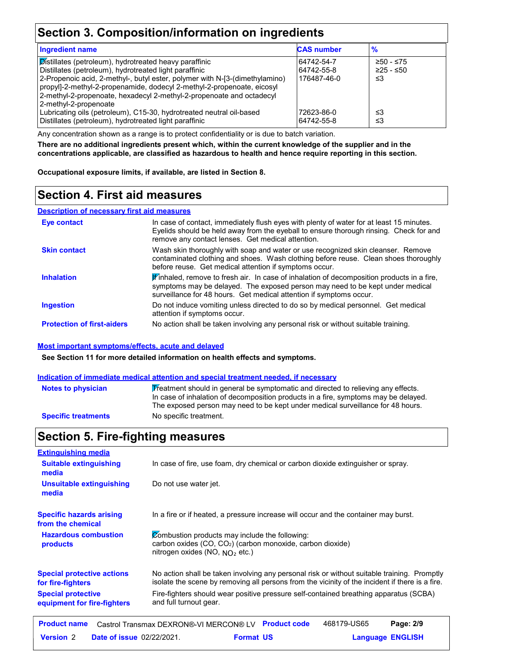### **Section 3. Composition/information on ingredients**

| <b>Ingredient name</b>                                                                                                                                | <b>CAS number</b> | $\frac{9}{6}$ |
|-------------------------------------------------------------------------------------------------------------------------------------------------------|-------------------|---------------|
| Distillates (petroleum), hydrotreated heavy paraffinic                                                                                                | 64742-54-7        | $≥50 - ≤75$   |
| Distillates (petroleum), hydrotreated light paraffinic                                                                                                | 64742-55-8        | $≥25 - ≤50$   |
| 2-Propenoic acid, 2-methyl-, butyl ester, polymer with N-[3-(dimethylamino)<br>propyl]-2-methyl-2-propenamide, dodecyl 2-methyl-2-propenoate, eicosyl | 176487-46-0       | ≤3            |
| 2-methyl-2-propenoate, hexadecyl 2-methyl-2-propenoate and octadecyl                                                                                  |                   |               |
| 2-methyl-2-propenoate                                                                                                                                 |                   |               |
| Lubricating oils (petroleum), C15-30, hydrotreated neutral oil-based                                                                                  | 72623-86-0        | ≤3            |
| Distillates (petroleum), hydrotreated light paraffinic                                                                                                | 64742-55-8        | ≤3            |

Any concentration shown as a range is to protect confidentiality or is due to batch variation.

**There are no additional ingredients present which, within the current knowledge of the supplier and in the concentrations applicable, are classified as hazardous to health and hence require reporting in this section.**

**Occupational exposure limits, if available, are listed in Section 8.**

### **Section 4. First aid measures**

#### **Description of necessary first aid measures**

| Eye contact                       | In case of contact, immediately flush eyes with plenty of water for at least 15 minutes.<br>Eyelids should be held away from the eyeball to ensure thorough rinsing. Check for and<br>remove any contact lenses. Get medical attention.             |
|-----------------------------------|-----------------------------------------------------------------------------------------------------------------------------------------------------------------------------------------------------------------------------------------------------|
| <b>Skin contact</b>               | Wash skin thoroughly with soap and water or use recognized skin cleanser. Remove<br>contaminated clothing and shoes. Wash clothing before reuse. Clean shoes thoroughly<br>before reuse. Get medical attention if symptoms occur.                   |
| <b>Inhalation</b>                 | If inhaled, remove to fresh air. In case of inhalation of decomposition products in a fire,<br>symptoms may be delayed. The exposed person may need to be kept under medical<br>surveillance for 48 hours. Get medical attention if symptoms occur. |
| <b>Ingestion</b>                  | Do not induce vomiting unless directed to do so by medical personnel. Get medical<br>attention if symptoms occur.                                                                                                                                   |
| <b>Protection of first-aiders</b> | No action shall be taken involving any personal risk or without suitable training.                                                                                                                                                                  |

#### **Most important symptoms/effects, acute and delayed**

**See Section 11 for more detailed information on health effects and symptoms.**

#### **Indication of immediate medical attention and special treatment needed, if necessary**

| <b>Notes to physician</b>  | Treatment should in general be symptomatic and directed to relieving any effects.<br>In case of inhalation of decomposition products in a fire, symptoms may be delayed.<br>The exposed person may need to be kept under medical surveillance for 48 hours. |
|----------------------------|-------------------------------------------------------------------------------------------------------------------------------------------------------------------------------------------------------------------------------------------------------------|
| <b>Specific treatments</b> | No specific treatment.                                                                                                                                                                                                                                      |

### **Section 5. Fire-fighting measures**

| <b>Extinguishing media</b>                                                                                                                                                                                                                               |                                                                                                                                                               |  |  |
|----------------------------------------------------------------------------------------------------------------------------------------------------------------------------------------------------------------------------------------------------------|---------------------------------------------------------------------------------------------------------------------------------------------------------------|--|--|
| <b>Suitable extinguishing</b><br>media                                                                                                                                                                                                                   | In case of fire, use foam, dry chemical or carbon dioxide extinguisher or spray.                                                                              |  |  |
| <b>Unsuitable extinguishing</b><br>media                                                                                                                                                                                                                 | Do not use water jet.                                                                                                                                         |  |  |
| <b>Specific hazards arising</b><br>from the chemical                                                                                                                                                                                                     | In a fire or if heated, a pressure increase will occur and the container may burst.                                                                           |  |  |
| <b>Hazardous combustion</b><br><b>products</b>                                                                                                                                                                                                           | Combustion products may include the following:<br>carbon oxides (CO, CO <sub>2</sub> ) (carbon monoxide, carbon dioxide)<br>nitrogen oxides (NO, $NQ_2$ etc.) |  |  |
| No action shall be taken involving any personal risk or without suitable training. Promptly<br><b>Special protective actions</b><br>isolate the scene by removing all persons from the vicinity of the incident if there is a fire.<br>for fire-fighters |                                                                                                                                                               |  |  |
| <b>Special protective</b><br>equipment for fire-fighters                                                                                                                                                                                                 | Fire-fighters should wear positive pressure self-contained breathing apparatus (SCBA)<br>and full turnout gear.                                               |  |  |
| <b>Product name</b>                                                                                                                                                                                                                                      | <b>Product code</b><br>468179-US65<br>Page: 2/9<br>Castrol Transmax DEXRON®-VI MERCON® LV                                                                     |  |  |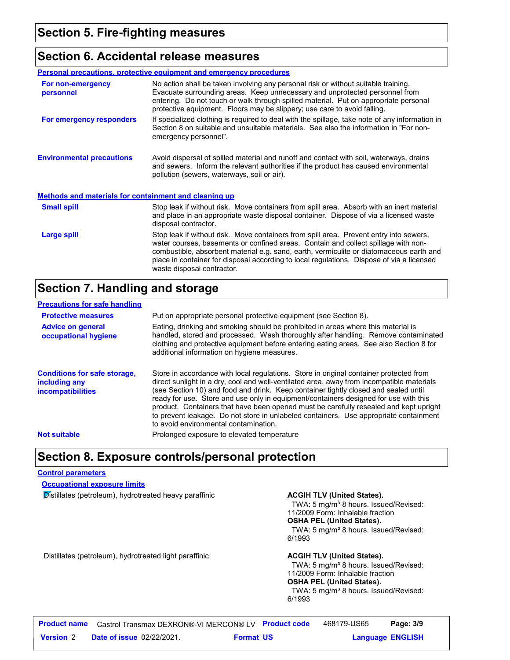### **Section 6. Accidental release measures**

|                                                       | <b>Personal precautions, protective equipment and emergency procedures</b>                                                                                                                                                                                                                                                                                                                         |  |
|-------------------------------------------------------|----------------------------------------------------------------------------------------------------------------------------------------------------------------------------------------------------------------------------------------------------------------------------------------------------------------------------------------------------------------------------------------------------|--|
| For non-emergency<br>personnel                        | No action shall be taken involving any personal risk or without suitable training.<br>Evacuate surrounding areas. Keep unnecessary and unprotected personnel from<br>entering. Do not touch or walk through spilled material. Put on appropriate personal<br>protective equipment. Floors may be slippery; use care to avoid falling.                                                              |  |
| For emergency responders                              | If specialized clothing is required to deal with the spillage, take note of any information in<br>Section 8 on suitable and unsuitable materials. See also the information in "For non-<br>emergency personnel".                                                                                                                                                                                   |  |
| <b>Environmental precautions</b>                      | Avoid dispersal of spilled material and runoff and contact with soil, waterways, drains<br>and sewers. Inform the relevant authorities if the product has caused environmental<br>pollution (sewers, waterways, soil or air).                                                                                                                                                                      |  |
| Methods and materials for containment and cleaning up |                                                                                                                                                                                                                                                                                                                                                                                                    |  |
| <b>Small spill</b>                                    | Stop leak if without risk. Move containers from spill area. Absorb with an inert material<br>and place in an appropriate waste disposal container. Dispose of via a licensed waste<br>disposal contractor.                                                                                                                                                                                         |  |
| <b>Large spill</b>                                    | Stop leak if without risk. Move containers from spill area. Prevent entry into sewers,<br>water courses, basements or confined areas. Contain and collect spillage with non-<br>combustible, absorbent material e.g. sand, earth, vermiculite or diatomaceous earth and<br>place in container for disposal according to local regulations. Dispose of via a licensed<br>waste disposal contractor. |  |

### **Section 7. Handling and storage**

| <b>Precautions for safe handling</b>                                             |                                                                                                                                                                                                                                                                                                                                                                                                                                                                                                                                                                                               |
|----------------------------------------------------------------------------------|-----------------------------------------------------------------------------------------------------------------------------------------------------------------------------------------------------------------------------------------------------------------------------------------------------------------------------------------------------------------------------------------------------------------------------------------------------------------------------------------------------------------------------------------------------------------------------------------------|
| <b>Protective measures</b>                                                       | Put on appropriate personal protective equipment (see Section 8).                                                                                                                                                                                                                                                                                                                                                                                                                                                                                                                             |
| <b>Advice on general</b><br>occupational hygiene                                 | Eating, drinking and smoking should be prohibited in areas where this material is<br>handled, stored and processed. Wash thoroughly after handling. Remove contaminated<br>clothing and protective equipment before entering eating areas. See also Section 8 for<br>additional information on hygiene measures.                                                                                                                                                                                                                                                                              |
| <b>Conditions for safe storage,</b><br>including any<br><i>incompatibilities</i> | Store in accordance with local regulations. Store in original container protected from<br>direct sunlight in a dry, cool and well-ventilated area, away from incompatible materials<br>(see Section 10) and food and drink. Keep container tightly closed and sealed until<br>ready for use. Store and use only in equipment/containers designed for use with this<br>product. Containers that have been opened must be carefully resealed and kept upright<br>to prevent leakage. Do not store in unlabeled containers. Use appropriate containment<br>to avoid environmental contamination. |
| <b>Not suitable</b>                                                              | Prolonged exposure to elevated temperature                                                                                                                                                                                                                                                                                                                                                                                                                                                                                                                                                    |

### **Section 8. Exposure controls/personal protection**

#### **Control parameters**

#### **Occupational exposure limits**

**Distillates (petroleum), hydrotreated heavy paraffinic <b>ACGIH TLV (United States).** 

TWA: 5 mg/m<sup>3</sup> 8 hours. Issued/Revised: 11/2009 Form: Inhalable fraction **OSHA PEL (United States).** TWA: 5 mg/m<sup>3</sup> 8 hours. Issued/Revised: 6/1993

Distillates (petroleum), hydrotreated light paraffinic **ACGIH TLV (United States).**

TWA: 5 mg/m<sup>3</sup> 8 hours. Issued/Revised: 11/2009 Form: Inhalable fraction **OSHA PEL (United States).** TWA: 5 mg/m<sup>3</sup> 8 hours. Issued/Revised: 6/1993

|                  |                                  | <b>Product name</b> Castrol Transmax DEXRON®-VI MERCON® LV Product code | 468179-US65 | Page: 3/9               |  |
|------------------|----------------------------------|-------------------------------------------------------------------------|-------------|-------------------------|--|
| <b>Version 2</b> | <b>Date of issue 02/22/2021.</b> | <b>Format US</b>                                                        |             | <b>Language ENGLISH</b> |  |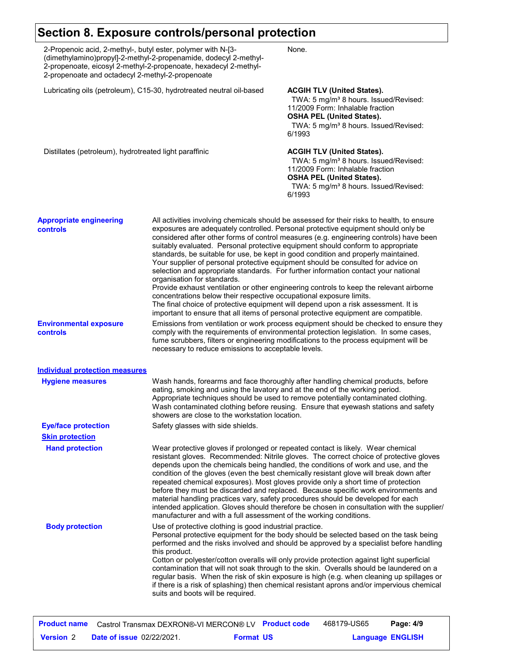## **Section 8. Exposure controls/personal protection**

| 2-Propenoic acid, 2-methyl-, butyl ester, polymer with N-[3-<br>(dimethylamino)propyl]-2-methyl-2-propenamide, dodecyl 2-methyl-<br>2-propenoate, eicosyl 2-methyl-2-propenoate, hexadecyl 2-methyl-<br>2-propenoate and octadecyl 2-methyl-2-propenoate |                                                                                                                                                                                                                                                                                                                                                                                                                                                                                                                                                                                                                                                                                                                                                                                                                                                                                                                                                                                                            | None.                                                                                                                                                                                                                                                         |  |
|----------------------------------------------------------------------------------------------------------------------------------------------------------------------------------------------------------------------------------------------------------|------------------------------------------------------------------------------------------------------------------------------------------------------------------------------------------------------------------------------------------------------------------------------------------------------------------------------------------------------------------------------------------------------------------------------------------------------------------------------------------------------------------------------------------------------------------------------------------------------------------------------------------------------------------------------------------------------------------------------------------------------------------------------------------------------------------------------------------------------------------------------------------------------------------------------------------------------------------------------------------------------------|---------------------------------------------------------------------------------------------------------------------------------------------------------------------------------------------------------------------------------------------------------------|--|
| Lubricating oils (petroleum), C15-30, hydrotreated neutral oil-based                                                                                                                                                                                     |                                                                                                                                                                                                                                                                                                                                                                                                                                                                                                                                                                                                                                                                                                                                                                                                                                                                                                                                                                                                            | <b>ACGIH TLV (United States).</b><br>TWA: 5 mg/m <sup>3</sup> 8 hours. Issued/Revised:<br>11/2009 Form: Inhalable fraction<br><b>OSHA PEL (United States).</b><br>TWA: 5 mg/m <sup>3</sup> 8 hours. Issued/Revised:<br>6/1993                                 |  |
| Distillates (petroleum), hydrotreated light paraffinic                                                                                                                                                                                                   |                                                                                                                                                                                                                                                                                                                                                                                                                                                                                                                                                                                                                                                                                                                                                                                                                                                                                                                                                                                                            | <b>ACGIH TLV (United States).</b><br>TWA: 5 mg/m <sup>3</sup> 8 hours. Issued/Revised:<br>11/2009 Form: Inhalable fraction<br><b>OSHA PEL (United States).</b><br>TWA: 5 mg/m <sup>3</sup> 8 hours. Issued/Revised:<br>6/1993                                 |  |
| <b>Appropriate engineering</b><br><b>controls</b>                                                                                                                                                                                                        | All activities involving chemicals should be assessed for their risks to health, to ensure<br>exposures are adequately controlled. Personal protective equipment should only be<br>considered after other forms of control measures (e.g. engineering controls) have been<br>suitably evaluated. Personal protective equipment should conform to appropriate<br>standards, be suitable for use, be kept in good condition and properly maintained.<br>Your supplier of personal protective equipment should be consulted for advice on<br>selection and appropriate standards. For further information contact your national<br>organisation for standards.<br>Provide exhaust ventilation or other engineering controls to keep the relevant airborne<br>concentrations below their respective occupational exposure limits.<br>The final choice of protective equipment will depend upon a risk assessment. It is<br>important to ensure that all items of personal protective equipment are compatible. |                                                                                                                                                                                                                                                               |  |
| <b>Environmental exposure</b><br>controls                                                                                                                                                                                                                | Emissions from ventilation or work process equipment should be checked to ensure they<br>comply with the requirements of environmental protection legislation. In some cases,<br>fume scrubbers, filters or engineering modifications to the process equipment will be<br>necessary to reduce emissions to acceptable levels.                                                                                                                                                                                                                                                                                                                                                                                                                                                                                                                                                                                                                                                                              |                                                                                                                                                                                                                                                               |  |
| <b>Individual protection measures</b>                                                                                                                                                                                                                    |                                                                                                                                                                                                                                                                                                                                                                                                                                                                                                                                                                                                                                                                                                                                                                                                                                                                                                                                                                                                            |                                                                                                                                                                                                                                                               |  |
| <b>Hygiene measures</b>                                                                                                                                                                                                                                  | eating, smoking and using the lavatory and at the end of the working period.<br>showers are close to the workstation location.                                                                                                                                                                                                                                                                                                                                                                                                                                                                                                                                                                                                                                                                                                                                                                                                                                                                             | Wash hands, forearms and face thoroughly after handling chemical products, before<br>Appropriate techniques should be used to remove potentially contaminated clothing.<br>Wash contaminated clothing before reusing. Ensure that eyewash stations and safety |  |
| <b>Eye/face protection</b>                                                                                                                                                                                                                               | Safety glasses with side shields.                                                                                                                                                                                                                                                                                                                                                                                                                                                                                                                                                                                                                                                                                                                                                                                                                                                                                                                                                                          |                                                                                                                                                                                                                                                               |  |
| <b>Skin protection</b>                                                                                                                                                                                                                                   |                                                                                                                                                                                                                                                                                                                                                                                                                                                                                                                                                                                                                                                                                                                                                                                                                                                                                                                                                                                                            |                                                                                                                                                                                                                                                               |  |
| <b>Hand protection</b>                                                                                                                                                                                                                                   | Wear protective gloves if prolonged or repeated contact is likely. Wear chemical<br>resistant gloves. Recommended: Nitrile gloves. The correct choice of protective gloves<br>depends upon the chemicals being handled, the conditions of work and use, and the<br>condition of the gloves (even the best chemically resistant glove will break down after<br>repeated chemical exposures). Most gloves provide only a short time of protection<br>before they must be discarded and replaced. Because specific work environments and<br>material handling practices vary, safety procedures should be developed for each<br>intended application. Gloves should therefore be chosen in consultation with the supplier/<br>manufacturer and with a full assessment of the working conditions.                                                                                                                                                                                                              |                                                                                                                                                                                                                                                               |  |
| <b>Body protection</b>                                                                                                                                                                                                                                   | Use of protective clothing is good industrial practice.<br>Personal protective equipment for the body should be selected based on the task being<br>performed and the risks involved and should be approved by a specialist before handling<br>this product.<br>Cotton or polyester/cotton overalls will only provide protection against light superficial<br>contamination that will not soak through to the skin. Overalls should be laundered on a<br>regular basis. When the risk of skin exposure is high (e.g. when cleaning up spillages or<br>if there is a risk of splashing) then chemical resistant aprons and/or impervious chemical<br>suits and boots will be required.                                                                                                                                                                                                                                                                                                                      |                                                                                                                                                                                                                                                               |  |

| <b>Product name</b> | Castrol Transmax DEXRON®-VI MERCON® LV Product code |                  | 468179-US65 | Page: 4/9               |
|---------------------|-----------------------------------------------------|------------------|-------------|-------------------------|
| <b>Version</b> 2    | <b>Date of issue 02/22/2021.</b>                    | <b>Format US</b> |             | <b>Language ENGLISH</b> |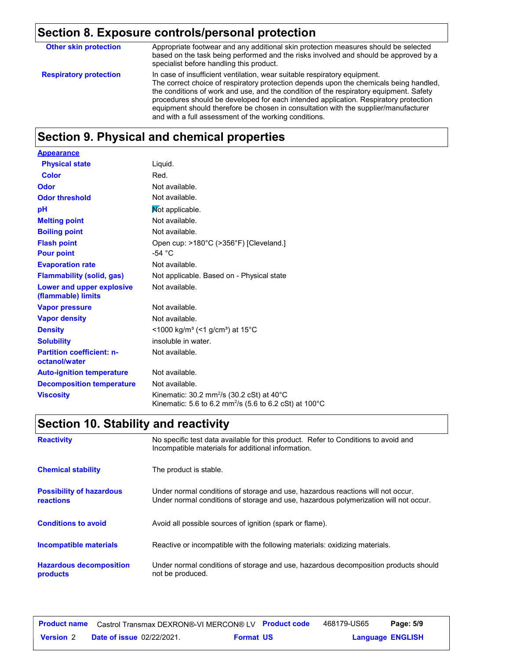## **Section 8. Exposure controls/personal protection**

| <b>Other skin protection</b>  | Appropriate footwear and any additional skin protection measures should be selected<br>based on the task being performed and the risks involved and should be approved by a<br>specialist before handling this product.                                                                                                                                                                                                                                                                               |
|-------------------------------|-------------------------------------------------------------------------------------------------------------------------------------------------------------------------------------------------------------------------------------------------------------------------------------------------------------------------------------------------------------------------------------------------------------------------------------------------------------------------------------------------------|
| <b>Respiratory protection</b> | In case of insufficient ventilation, wear suitable respiratory equipment.<br>The correct choice of respiratory protection depends upon the chemicals being handled,<br>the conditions of work and use, and the condition of the respiratory equipment. Safety<br>procedures should be developed for each intended application. Respiratory protection<br>equipment should therefore be chosen in consultation with the supplier/manufacturer<br>and with a full assessment of the working conditions. |

### **Section 9. Physical and chemical properties**

| <b>Appearance</b>                                 |                                                                                                                                         |
|---------------------------------------------------|-----------------------------------------------------------------------------------------------------------------------------------------|
| <b>Physical state</b>                             | Liquid.                                                                                                                                 |
| Color                                             | Red.                                                                                                                                    |
| Odor                                              | Not available.                                                                                                                          |
| <b>Odor threshold</b>                             | Not available.                                                                                                                          |
| pH                                                | Not applicable.                                                                                                                         |
| <b>Melting point</b>                              | Not available.                                                                                                                          |
| <b>Boiling point</b>                              | Not available.                                                                                                                          |
| <b>Flash point</b>                                | Open cup: >180°C (>356°F) [Cleveland.]                                                                                                  |
| <b>Pour point</b>                                 | -54 $^{\circ}$ C                                                                                                                        |
| <b>Evaporation rate</b>                           | Not available.                                                                                                                          |
| <b>Flammability (solid, gas)</b>                  | Not applicable. Based on - Physical state                                                                                               |
| Lower and upper explosive<br>(flammable) limits   | Not available.                                                                                                                          |
| <b>Vapor pressure</b>                             | Not available.                                                                                                                          |
| <b>Vapor density</b>                              | Not available.                                                                                                                          |
| <b>Density</b>                                    | <1000 kg/m <sup>3</sup> (<1 g/cm <sup>3</sup> ) at 15 <sup>°</sup> C                                                                    |
| <b>Solubility</b>                                 | insoluble in water.                                                                                                                     |
| <b>Partition coefficient: n-</b><br>octanol/water | Not available.                                                                                                                          |
| <b>Auto-ignition temperature</b>                  | Not available.                                                                                                                          |
| <b>Decomposition temperature</b>                  | Not available.                                                                                                                          |
| <b>Viscosity</b>                                  | Kinematic: 30.2 mm <sup>2</sup> /s (30.2 cSt) at 40 $^{\circ}$ C<br>Kinematic: 5.6 to 6.2 mm <sup>2</sup> /s (5.6 to 6.2 cSt) at 100 °C |

## **Section 10. Stability and reactivity**

| <b>Reactivity</b>                                   | No specific test data available for this product. Refer to Conditions to avoid and<br>Incompatible materials for additional information.                                |
|-----------------------------------------------------|-------------------------------------------------------------------------------------------------------------------------------------------------------------------------|
| <b>Chemical stability</b>                           | The product is stable.                                                                                                                                                  |
| <b>Possibility of hazardous</b><br><b>reactions</b> | Under normal conditions of storage and use, hazardous reactions will not occur.<br>Under normal conditions of storage and use, hazardous polymerization will not occur. |
| <b>Conditions to avoid</b>                          | Avoid all possible sources of ignition (spark or flame).                                                                                                                |
| <b>Incompatible materials</b>                       | Reactive or incompatible with the following materials: oxidizing materials.                                                                                             |
| <b>Hazardous decomposition</b><br>products          | Under normal conditions of storage and use, hazardous decomposition products should<br>not be produced.                                                                 |

| <b>Product name</b> | Castrol Transmax DEXRON®-VI MERCON® LV Product code |                  | 468179-US65             | Page: 5/9 |  |
|---------------------|-----------------------------------------------------|------------------|-------------------------|-----------|--|
| <b>Version 2</b>    | <b>Date of issue 02/22/2021.</b>                    | <b>Format US</b> | <b>Language ENGLISH</b> |           |  |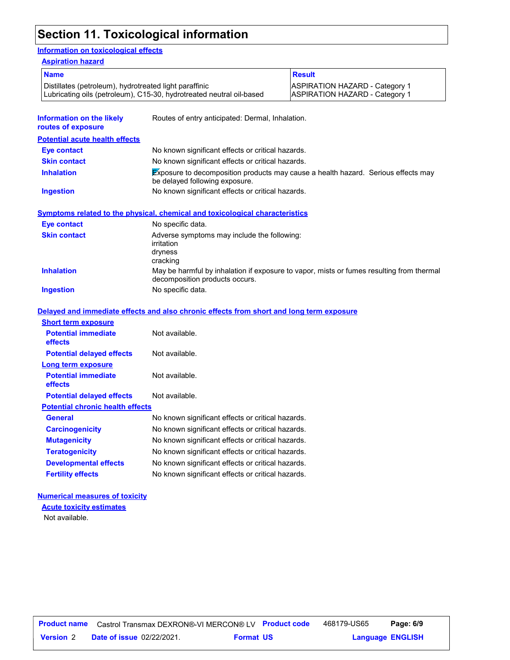### **Section 11. Toxicological information**

#### **Information on toxicological effects**

| <b>ASPIRATION HAZARD - Category 1</b><br><b>ASPIRATION HAZARD - Category 1</b>                                             |  |  |
|----------------------------------------------------------------------------------------------------------------------------|--|--|
|                                                                                                                            |  |  |
|                                                                                                                            |  |  |
|                                                                                                                            |  |  |
|                                                                                                                            |  |  |
| Exposure to decomposition products may cause a health hazard. Serious effects may                                          |  |  |
|                                                                                                                            |  |  |
|                                                                                                                            |  |  |
|                                                                                                                            |  |  |
| No specific data.<br>Adverse symptoms may include the following:<br>irritation<br>dryness<br>cracking                      |  |  |
| May be harmful by inhalation if exposure to vapor, mists or fumes resulting from thermal<br>decomposition products occurs. |  |  |
| No specific data.                                                                                                          |  |  |
|                                                                                                                            |  |  |
|                                                                                                                            |  |  |
|                                                                                                                            |  |  |
|                                                                                                                            |  |  |
|                                                                                                                            |  |  |
|                                                                                                                            |  |  |
|                                                                                                                            |  |  |
|                                                                                                                            |  |  |
|                                                                                                                            |  |  |
|                                                                                                                            |  |  |
|                                                                                                                            |  |  |
|                                                                                                                            |  |  |
| No known significant effects or critical hazards.<br>No known significant effects or critical hazards.                     |  |  |
|                                                                                                                            |  |  |
|                                                                                                                            |  |  |

### **Numerical measures of toxicity**

Not available. **Acute toxicity estimates**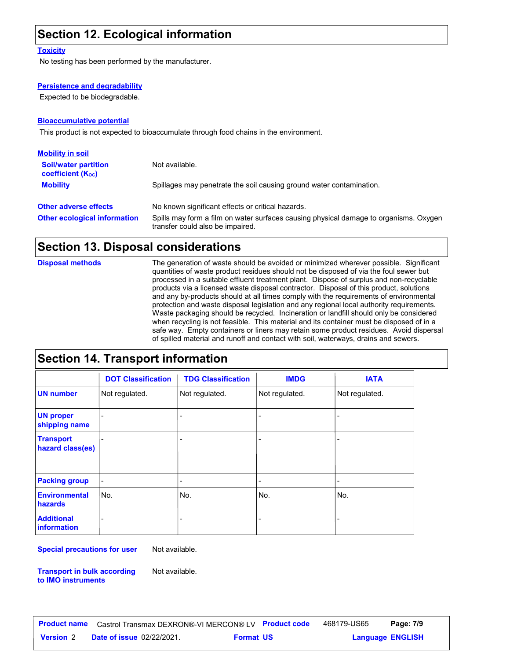### **Section 12. Ecological information**

#### **Toxicity**

No testing has been performed by the manufacturer.

#### **Persistence and degradability**

Expected to be biodegradable.

#### **Bioaccumulative potential**

This product is not expected to bioaccumulate through food chains in the environment.

| <b>Mobility in soil</b>                                 |                                                                                                                           |
|---------------------------------------------------------|---------------------------------------------------------------------------------------------------------------------------|
| <b>Soil/water partition</b><br><b>coefficient (Koc)</b> | Not available.                                                                                                            |
| <b>Mobility</b>                                         | Spillages may penetrate the soil causing ground water contamination.                                                      |
| <b>Other adverse effects</b>                            | No known significant effects or critical hazards.                                                                         |
| <b>Other ecological information</b>                     | Spills may form a film on water surfaces causing physical damage to organisms. Oxygen<br>transfer could also be impaired. |

### **Section 13. Disposal considerations**

The generation of waste should be avoided or minimized wherever possible. Significant quantities of waste product residues should not be disposed of via the foul sewer but processed in a suitable effluent treatment plant. Dispose of surplus and non-recyclable products via a licensed waste disposal contractor. Disposal of this product, solutions and any by-products should at all times comply with the requirements of environmental protection and waste disposal legislation and any regional local authority requirements. Waste packaging should be recycled. Incineration or landfill should only be considered when recycling is not feasible. This material and its container must be disposed of in a safe way. Empty containers or liners may retain some product residues. Avoid dispersal of spilled material and runoff and contact with soil, waterways, drains and sewers. **Disposal methods**

### **Section 14. Transport information**

|                                         | <b>DOT Classification</b> | <b>TDG Classification</b>    | <b>IMDG</b>                  | <b>IATA</b>              |
|-----------------------------------------|---------------------------|------------------------------|------------------------------|--------------------------|
| <b>UN number</b>                        | Not regulated.            | Not regulated.               | Not regulated.               | Not regulated.           |
| <b>UN proper</b><br>shipping name       |                           |                              | $\overline{\phantom{a}}$     | $\overline{\phantom{a}}$ |
| <b>Transport</b><br>hazard class(es)    |                           |                              | ۰                            | ٠                        |
| <b>Packing group</b>                    | $\overline{\phantom{a}}$  | $\qquad \qquad \blacksquare$ | $\qquad \qquad \blacksquare$ | $\overline{\phantom{0}}$ |
| <b>Environmental</b><br>hazards         | lNo.                      | No.                          | No.                          | No.                      |
| <b>Additional</b><br><b>information</b> |                           | -                            | $\qquad \qquad \blacksquare$ |                          |

**Special precautions for user** Not available.

**Transport in bulk according to IMO instruments**

Not available.

**Date of issue** 02/22/2021. **Version** 2 **Format Language Product name** Castrol Transmax DEXRON®-VI MERCON® LV **Product code** 468179-US65 **Page: 7/9** | **Language ENGLISH** 468179-US65 Page: 7/9 **Format US**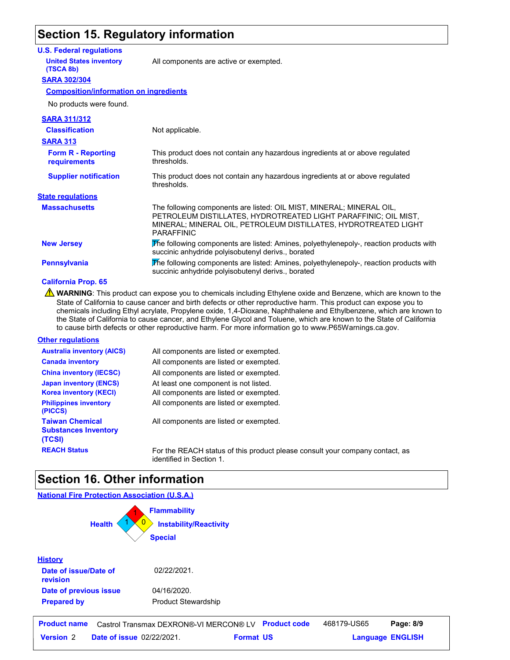### **Section 15. Regulatory information**

#### **U.S. Federal regulations**

**United States inventory** All components are active or exempted.

#### **SARA 302/304 (TSCA 8b)**

#### **Composition/information on ingredients**

| <b>SARA 311/312</b>                       |                                                                                                                                                                                                                                 |
|-------------------------------------------|---------------------------------------------------------------------------------------------------------------------------------------------------------------------------------------------------------------------------------|
| <b>Classification</b>                     | Not applicable.                                                                                                                                                                                                                 |
| <b>SARA 313</b>                           |                                                                                                                                                                                                                                 |
| <b>Form R - Reporting</b><br>requirements | This product does not contain any hazardous ingredients at or above requiated<br>thresholds.                                                                                                                                    |
| <b>Supplier notification</b>              | This product does not contain any hazardous ingredients at or above requiated<br>thresholds.                                                                                                                                    |
| <b>State regulations</b>                  |                                                                                                                                                                                                                                 |
| <b>Massachusetts</b>                      | The following components are listed: OIL MIST, MINERAL; MINERAL OIL,<br>PETROLEUM DISTILLATES, HYDROTREATED LIGHT PARAFFINIC; OIL MIST,<br>MINERAL; MINERAL OIL, PETROLEUM DISTILLATES, HYDROTREATED LIGHT<br><b>PARAFFINIC</b> |
| <b>New Jersey</b>                         | The following components are listed: Amines, polyethylenepoly-, reaction products with<br>succinic anhydride polyisobutenyl derivs., borated                                                                                    |
| <b>Pennsylvania</b>                       | The following components are listed: Amines, polyethylenepoly-, reaction products with<br>succinic anhydride polyisobutenyl derivs., borated                                                                                    |

#### **California Prop. 65**

WARNING: This product can expose you to chemicals including Ethylene oxide and Benzene, which are known to the State of California to cause cancer and birth defects or other reproductive harm. This product can expose you to chemicals including Ethyl acrylate, Propylene oxide, 1,4-Dioxane, Naphthalene and Ethylbenzene, which are known to the State of California to cause cancer, and Ethylene Glycol and Toluene, which are known to the State of California to cause birth defects or other reproductive harm. For more information go to www.P65Warnings.ca.gov.

#### **Other regulations**

| <b>Australia inventory (AICS)</b>                                                              | All components are listed or exempted.                                                                                    |
|------------------------------------------------------------------------------------------------|---------------------------------------------------------------------------------------------------------------------------|
| <b>Canada inventory</b>                                                                        | All components are listed or exempted.                                                                                    |
| <b>China inventory (IECSC)</b>                                                                 | All components are listed or exempted.                                                                                    |
| <b>Japan inventory (ENCS)</b><br><b>Korea inventory (KECI)</b><br><b>Philippines inventory</b> | At least one component is not listed.<br>All components are listed or exempted.<br>All components are listed or exempted. |
| (PICCS)                                                                                        |                                                                                                                           |
| <b>Taiwan Chemical</b><br><b>Substances Inventory</b><br>(TCSI)                                | All components are listed or exempted.                                                                                    |
| <b>REACH Status</b>                                                                            | For the REACH status of this product please                                                                               |

ase consult your company contact, as identified in Section 1.

### **Section 16. Other information**

#### **National Fire Protection Association (U.S.A.)**



|                  | <b>Product name</b> Castrol Transmax DEXRON®-VI MERCON® LV Product code |                  | 468179-US65 | Page: 8/9               |  |
|------------------|-------------------------------------------------------------------------|------------------|-------------|-------------------------|--|
| <b>Version 2</b> | <b>Date of issue 02/22/2021.</b>                                        | <b>Format US</b> |             | <b>Language ENGLISH</b> |  |